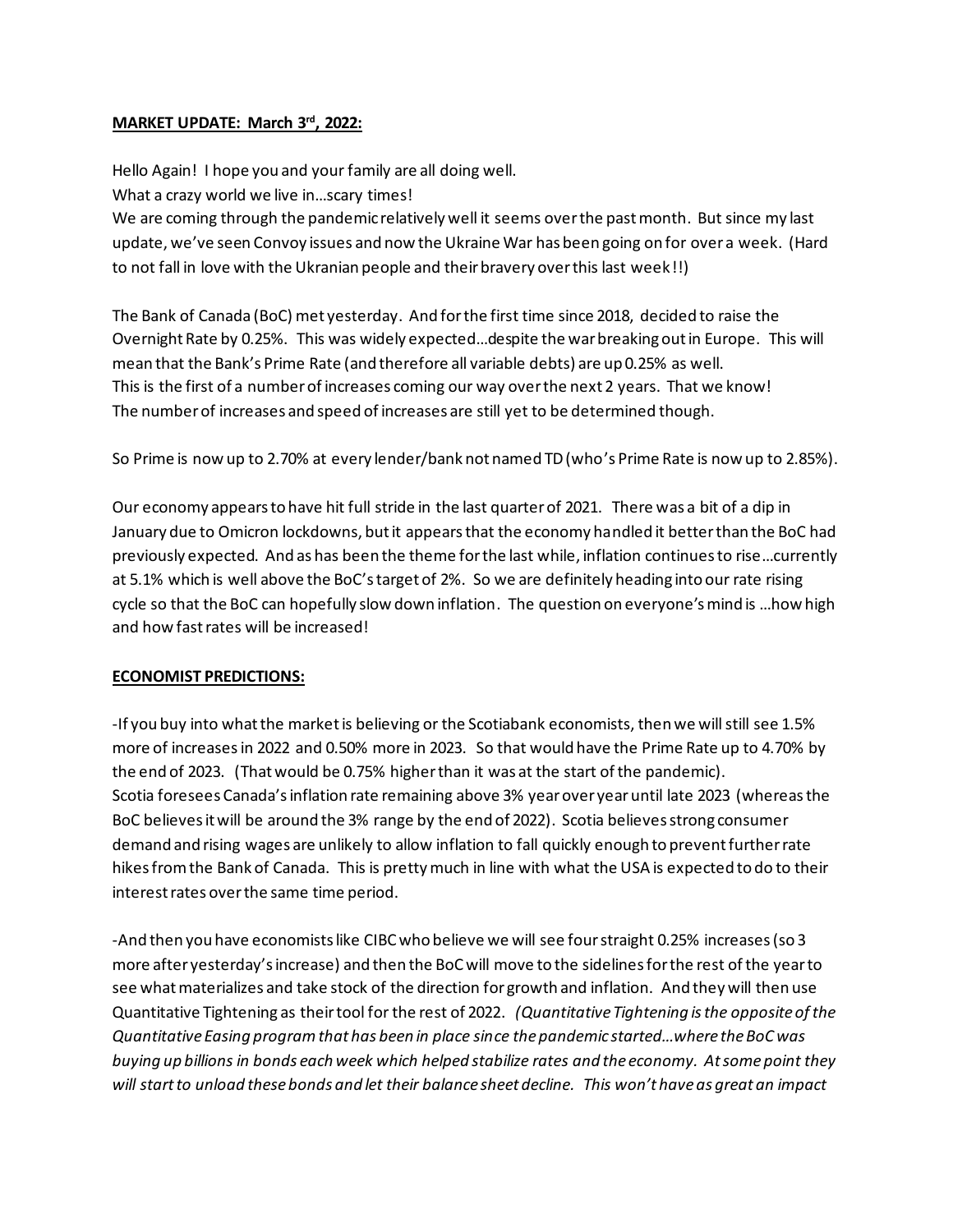## **MARKET UPDATE: March 3rd, 2022:**

Hello Again! I hope you and your family are all doing well. What a crazy world we live in...scary times! We are coming through the pandemic relatively well it seems over the past month. But since my last update, we've seen Convoy issues and now the Ukraine War has been going on for over a week. (Hard to not fall in love with the Ukranian people and their bravery over this last week!!)

The Bank of Canada (BoC) met yesterday. And for the first time since 2018, decided to raise the Overnight Rate by 0.25%. This was widely expected…despite the war breaking out in Europe. This will mean that the Bank's Prime Rate (and therefore all variable debts) are up 0.25% as well. This is the first of a number of increases coming our way over the next 2 years. That we know! The number of increases and speed of increases are still yet to be determined though.

So Prime is now up to 2.70% at every lender/bank not named TD (who's Prime Rate is now up to 2.85%).

Our economy appears to have hit full stride in the last quarter of 2021. There was a bit of a dip in January due to Omicron lockdowns, but it appears that the economy handled it better than the BoC had previously expected. And as has been the theme for the last while, inflation continues to rise…currently at 5.1% which is well above the BoC's target of 2%. So we are definitely heading into our rate rising cycle so that the BoC can hopefully slow down inflation. The question on everyone's mind is …how high and how fast rates will be increased!

## **ECONOMIST PREDICTIONS:**

-If you buy into what the market is believing or the Scotiabank economists, then we will still see 1.5% more of increases in 2022 and 0.50% more in 2023. So that would have the Prime Rate up to 4.70% by the end of 2023. (That would be 0.75% higher than it was at the start of the pandemic). Scotia foresees Canada's inflation rate remaining above 3% year over year until late 2023 (whereas the BoC believes it will be around the 3% range by the end of 2022). Scotia believes strong consumer demand and rising wages are unlikely to allow inflation to fall quickly enough to prevent further rate hikes from the Bank of Canada. This is pretty much in line with what the USA is expected to do to their interest rates over the same time period.

-And then you have economists like CIBC who believe we will see four straight 0.25% increases (so 3 more after yesterday's increase) and then the BoC will move to the sidelines for the rest of the year to see what materializes and take stock of the direction for growth and inflation. And they will then use Quantitative Tightening as their tool for the rest of 2022. *(Quantitative Tightening is the opposite of the Quantitative Easing program that has been in place since the pandemic started…where the BoC was buying up billions in bonds each week which helped stabilize rates and the economy. At some point they will start to unload these bonds and let their balance sheet decline. This won't have as great an impact*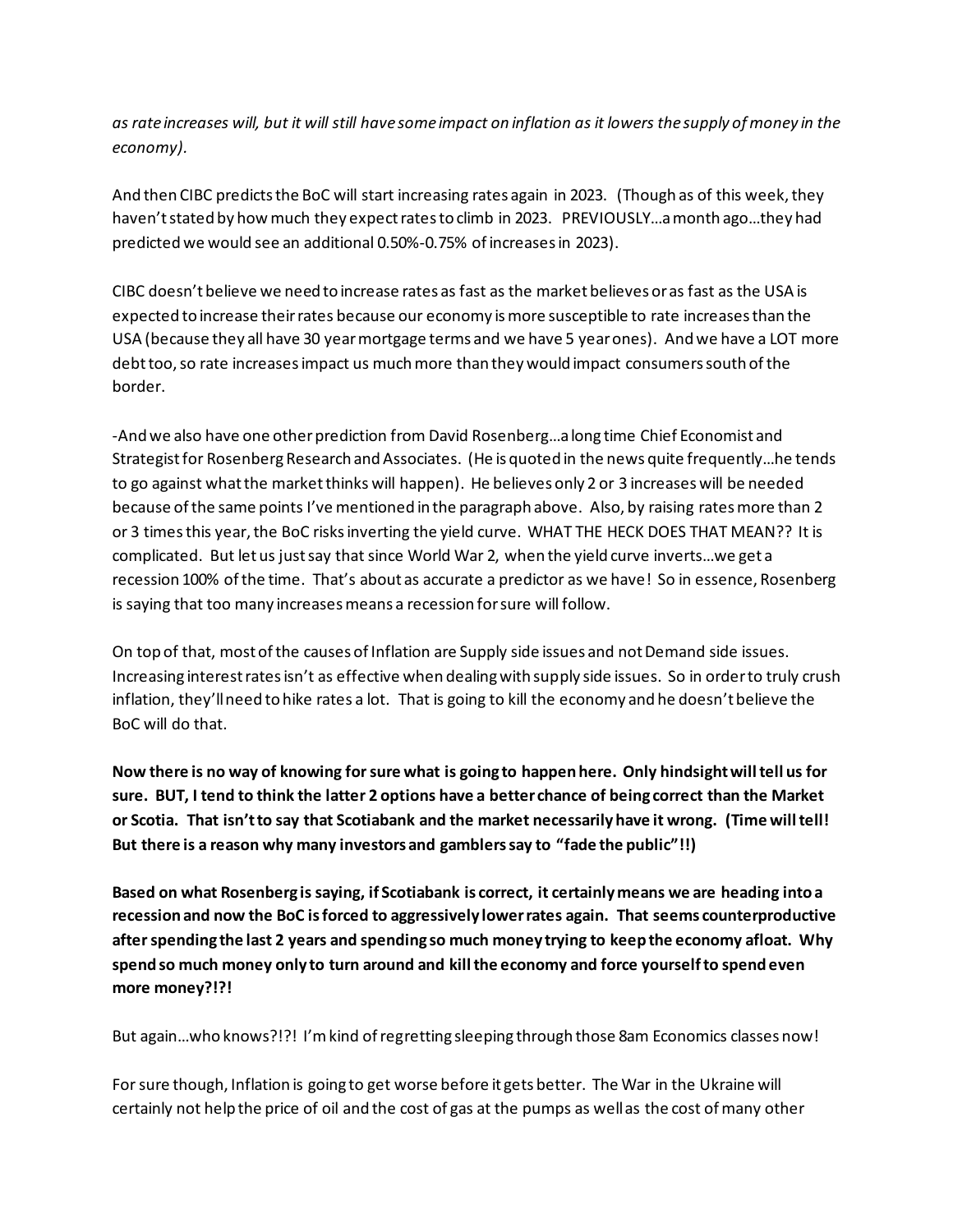*as rate increases will, but it will still have some impact on inflation as it lowers the supply of money in the economy).*

And then CIBC predicts the BoC will start increasing rates again in 2023. (Though as of this week, they haven't stated by how much they expect rates to climb in 2023. PREVIOUSLY…a month ago…they had predicted we would see an additional 0.50%-0.75% of increases in 2023).

CIBC doesn't believe we need to increase rates as fast as the market believes or as fast as the USA is expected to increase their rates because our economy is more susceptible to rate increases than the USA (because they all have 30 year mortgage terms and we have 5 year ones). And we have a LOT more debt too, so rate increasesimpact us much more than they would impact consumers south of the border.

-And we also have one other prediction from David Rosenberg…a long time Chief Economist and Strategistfor Rosenberg Research and Associates. (He is quoted in the news quite frequently…he tends to go against what the market thinks will happen). He believes only 2 or 3 increases will be needed because of the same points I've mentioned in the paragraph above. Also, by raising rates more than 2 or 3 timesthis year, the BoC risks inverting the yield curve. WHAT THE HECK DOES THAT MEAN?? It is complicated. But let us just say that since World War 2, when the yield curve inverts…we get a recession 100% of the time. That's about as accurate a predictor as we have! So in essence, Rosenberg is saying that too many increases means a recession for sure will follow.

On top of that, most of the causes of Inflation are Supply side issues and not Demand side issues. Increasing interest rates isn't as effective when dealing with supply side issues. So in order to truly crush inflation, they'll need to hike rates a lot. That is going to kill the economy and he doesn't believe the BoC will do that.

**Now there is no way of knowing for sure what is going to happen here. Only hindsight will tell us for sure. BUT, I tend to think the latter 2 options have a better chance of being correct than the Market or Scotia. That isn't to say that Scotiabank and the market necessarily have it wrong. (Time will tell! But there is a reason why many investors and gamblers say to "fade the public"!!)**

**Based on what Rosenberg is saying, if Scotiabank is correct, it certainly means we are heading intoa recession and now the BoC is forced to aggressively lower rates again. That seems counterproductive after spending the last 2 years and spending so much money trying to keep the economy afloat. Why spend so much money only to turn around and kill the economy and force yourself to spend even more money?!?!**

But again…who knows?!?! I'm kind of regretting sleeping through those 8am Economics classes now!

For sure though, Inflation is going to get worse before it gets better. The War in the Ukraine will certainly not help the price of oil and the cost of gas at the pumps as well as the cost of many other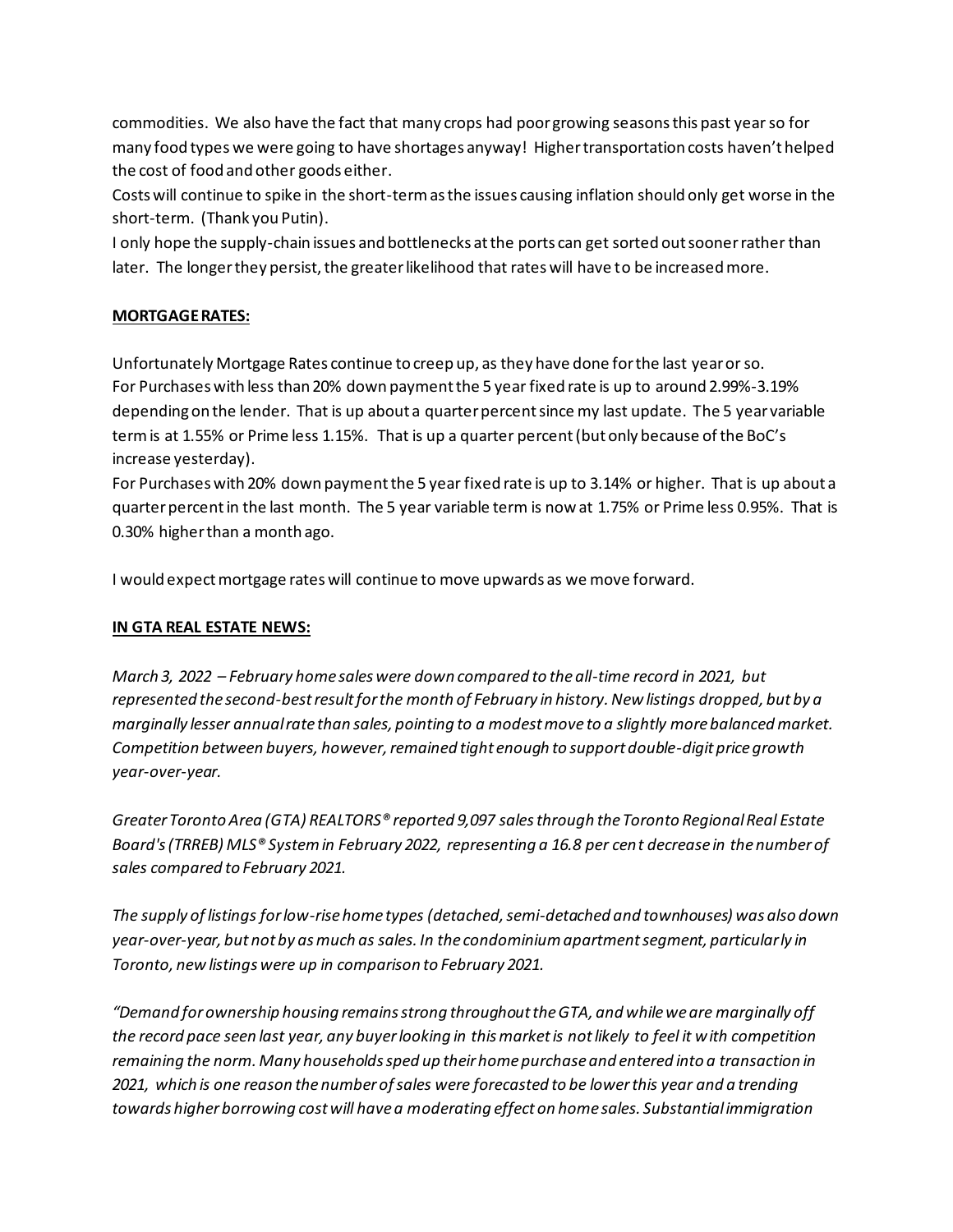commodities. We also have the fact that many crops had poor growing seasons this past yearso for many food types we were going to have shortages anyway! Higher transportation costs haven't helped the cost of food and other goods either.

Costs will continue to spike in the short-termas the issues causing inflation should only get worse in the short-term. (Thank you Putin).

I only hope the supply-chain issues and bottlenecks at the ports can get sorted out sooner rather than later. The longer they persist, the greater likelihood that rates will have to be increased more.

## **MORTGAGE RATES:**

Unfortunately Mortgage Rates continue to creep up, as they have done for the last year or so. For Purchases with less than 20% down payment the 5 year fixed rate is up to around 2.99%-3.19% depending on the lender. That is up about a quarter percent since my last update. The 5 year variable termis at 1.55% or Prime less 1.15%. That is up a quarter percent (but only because of the BoC's increase yesterday).

For Purchases with 20% down payment the 5 year fixed rate is up to 3.14% or higher. That is up about a quarter percent in the last month. The 5 year variable term is now at 1.75% or Prime less 0.95%. That is 0.30% higher than a month ago.

I would expect mortgage rates will continue to move upwards as we move forward.

## **IN GTA REAL ESTATE NEWS:**

*March 3, 2022 – February home sales were down compared to the all-time record in 2021, but represented the second-best result for the month of February in history. New listings dropped, but by a marginally lesser annual rate than sales, pointing to a modest move to a slightly more balanced market. Competition between buyers, however, remained tight enough to support double-digit price growth year-over-year.* 

*Greater Toronto Area (GTA) REALTORS® reported 9,097 sales through the Toronto Regional Real Estate Board's (TRREB) MLS® System in February 2022, representing a 16.8 per cent decrease in the number of sales compared to February 2021.* 

*The supply of listings for low-rise home types (detached, semi-detached and townhouses) was also down year-over-year, but not by as much as sales. In the condominium apartment segment, particularly in Toronto, new listings were up in comparison to February 2021.* 

*"Demand for ownership housing remains strong throughout the GTA, and while we are marginally off the record pace seen last year, any buyer looking in this market is not likely to feel it with competition remaining the norm. Many households sped up their home purchase and entered into a transaction in 2021, which is one reason the number of sales were forecasted to be lower this year and a trending towards higher borrowing cost will have a moderating effect on home sales. Substantial immigration*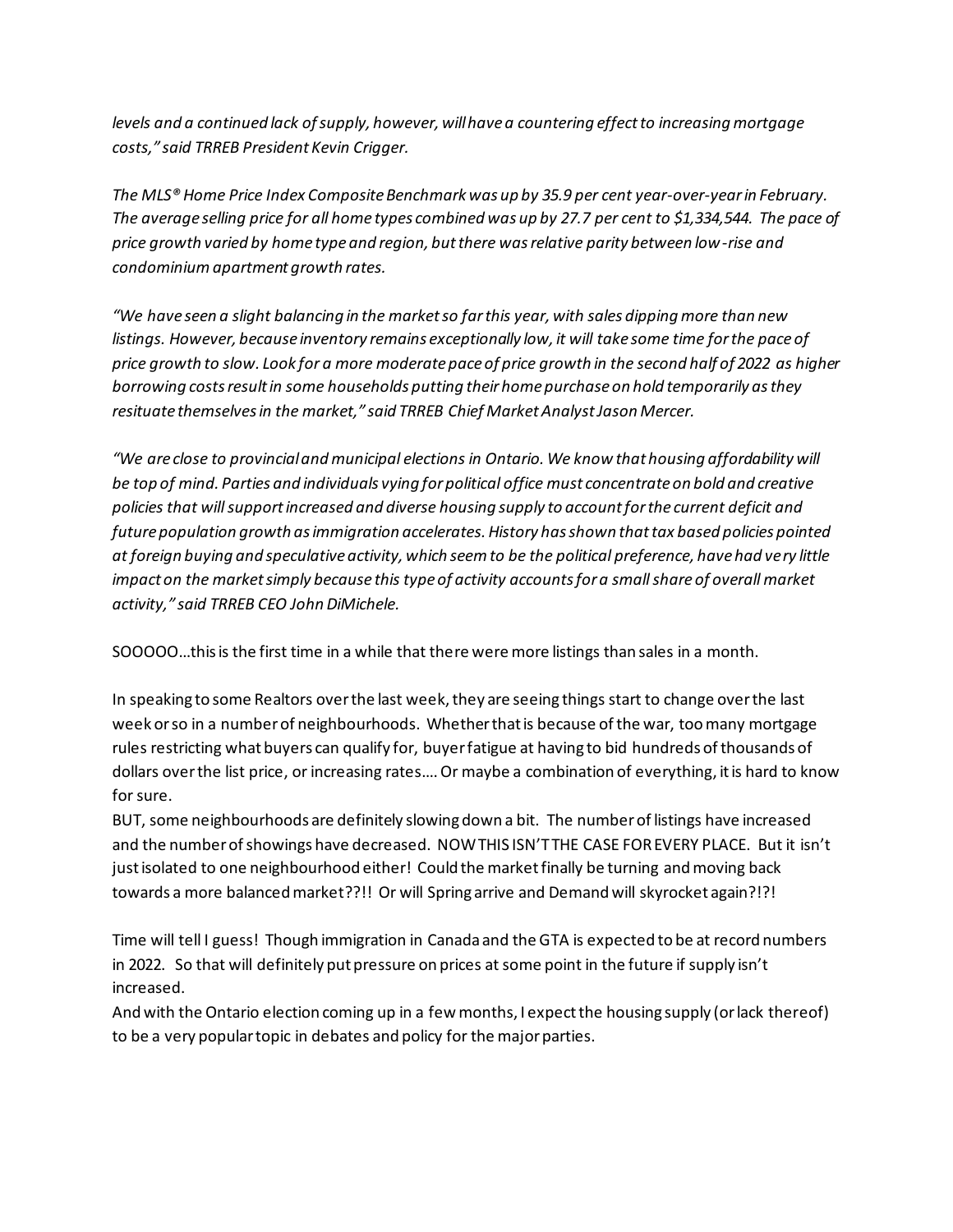*levels and a continued lack of supply, however, will have a countering effect to increasing mortgage costs," said TRREB President Kevin Crigger.* 

*The MLS® Home Price Index Composite Benchmark was up by 35.9 per cent year-over-year in February. The average selling price for all home types combined was up by 27.7 per cent to \$1,334,544. The pace of price growth varied by home type and region, but there was relative parity between low-rise and condominium apartment growth rates.* 

*"We have seen a slight balancing in the market so far this year, with sales dipping more than new listings. However, because inventory remains exceptionally low, it will take some time for the pace of price growth to slow. Look for a more moderate pace of price growth in the second half of 2022 as higher borrowing costs result in some households putting their home purchase on hold temporarily as they resituate themselves in the market," said TRREB Chief Market Analyst Jason Mercer.* 

*"We are close to provincial and municipal elections in Ontario. We know that housing affordability will be top of mind. Parties and individuals vying for political office must concentrate on bold and creative policies that will support increased and diverse housing supply to account for the current deficit and future population growth as immigration accelerates. History has shown that tax based policies pointed at foreign buying and speculative activity, which seem to be the political preference, have had very little impact on the market simply because this type of activity accounts for a small share of overall market activity," said TRREB CEO John DiMichele.*

SOOOOO…this is the first time in a while that there were more listings than sales in a month.

In speaking to some Realtors over the last week, they are seeing things start to change over the last week or so in a number of neighbourhoods. Whether that is because of the war, too many mortgage rules restricting what buyers can qualify for, buyer fatigue at having to bid hundreds of thousands of dollars over the list price, or increasing rates….Or maybe a combination of everything, it is hard to know for sure.

BUT, some neighbourhoods are definitely slowing down a bit. The number of listings have increased and the number of showings have decreased. NOW THIS ISN'T THE CASE FOR EVERY PLACE. But it isn't just isolated to one neighbourhood either! Could the market finally be turning and moving back towards a more balanced market??!! Or will Spring arrive and Demand will skyrocket again?!?!

Time will tell I guess! Though immigration in Canada and the GTA is expected to be at record numbers in 2022. So that will definitely put pressure on prices at some point in the future if supply isn't increased.

And with the Ontario election coming up in a few months, I expect the housing supply (or lack thereof) to be a very popular topic in debates and policy for the major parties.